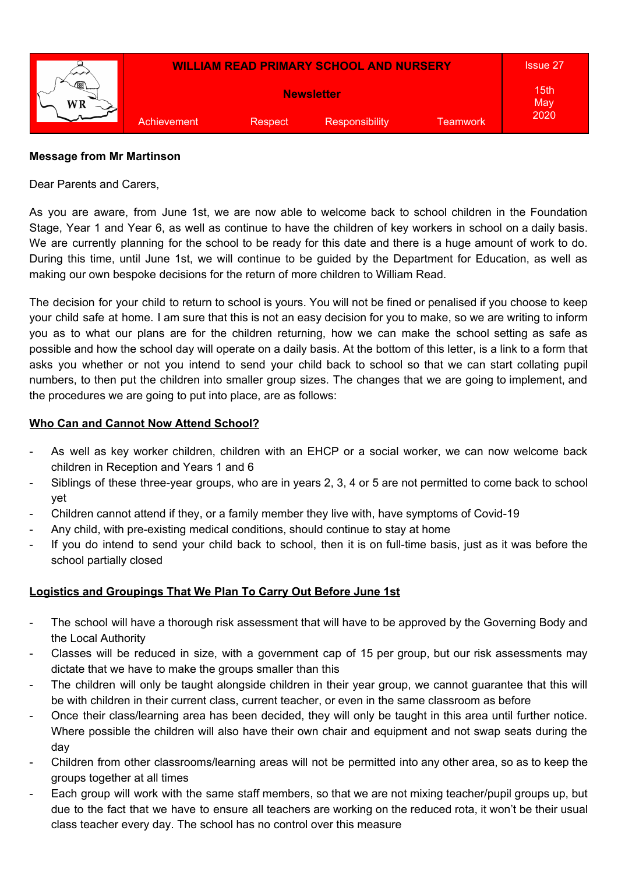

#### **Message from Mr Martinson**

Dear Parents and Carers,

As you are aware, from June 1st, we are now able to welcome back to school children in the Foundation Stage, Year 1 and Year 6, as well as continue to have the children of key workers in school on a daily basis. We are currently planning for the school to be ready for this date and there is a huge amount of work to do. During this time, until June 1st, we will continue to be guided by the Department for Education, as well as making our own bespoke decisions for the return of more children to William Read.

The decision for your child to return to school is yours. You will not be fined or penalised if you choose to keep your child safe at home. I am sure that this is not an easy decision for you to make, so we are writing to inform you as to what our plans are for the children returning, how we can make the school setting as safe as possible and how the school day will operate on a daily basis. At the bottom of this letter, is a link to a form that asks you whether or not you intend to send your child back to school so that we can start collating pupil numbers, to then put the children into smaller group sizes. The changes that we are going to implement, and the procedures we are going to put into place, are as follows:

# **Who Can and Cannot Now Attend School?**

- As well as key worker children, children with an EHCP or a social worker, we can now welcome back children in Reception and Years 1 and 6
- Siblings of these three-year groups, who are in years 2, 3, 4 or 5 are not permitted to come back to school yet
- Children cannot attend if they, or a family member they live with, have symptoms of Covid-19
- Any child, with pre-existing medical conditions, should continue to stay at home
- If you do intend to send your child back to school, then it is on full-time basis, just as it was before the school partially closed

# **Logistics and Groupings That We Plan To Carry Out Before June 1st**

- The school will have a thorough risk assessment that will have to be approved by the Governing Body and the Local Authority
- Classes will be reduced in size, with a government cap of 15 per group, but our risk assessments may dictate that we have to make the groups smaller than this
- The children will only be taught alongside children in their year group, we cannot guarantee that this will be with children in their current class, current teacher, or even in the same classroom as before
- Once their class/learning area has been decided, they will only be taught in this area until further notice. Where possible the children will also have their own chair and equipment and not swap seats during the day
- Children from other classrooms/learning areas will not be permitted into any other area, so as to keep the groups together at all times
- Each group will work with the same staff members, so that we are not mixing teacher/pupil groups up, but due to the fact that we have to ensure all teachers are working on the reduced rota, it won't be their usual class teacher every day. The school has no control over this measure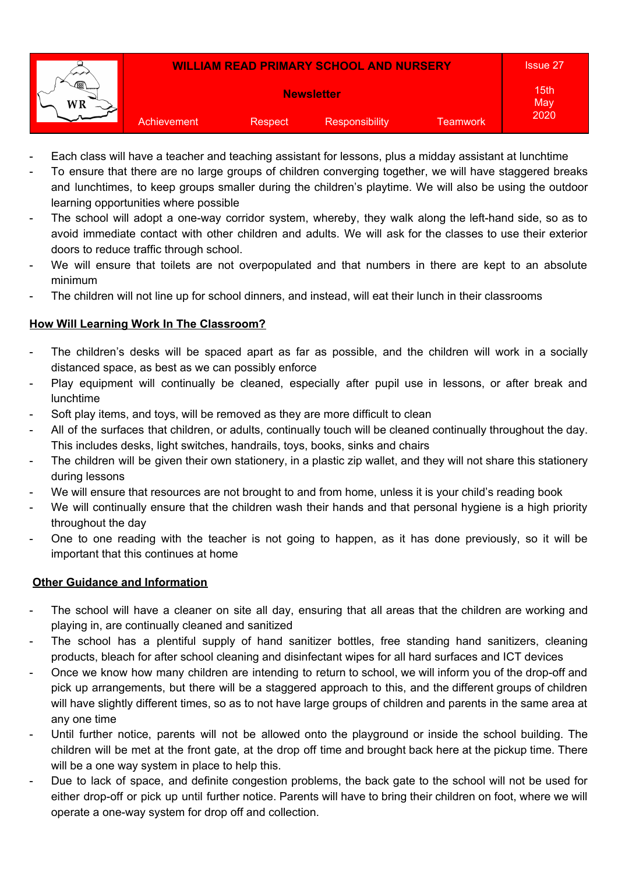

- Each class will have a teacher and teaching assistant for lessons, plus a midday assistant at lunchtime
- To ensure that there are no large groups of children converging together, we will have staggered breaks and lunchtimes, to keep groups smaller during the children's playtime. We will also be using the outdoor learning opportunities where possible
- The school will adopt a one-way corridor system, whereby, they walk along the left-hand side, so as to avoid immediate contact with other children and adults. We will ask for the classes to use their exterior doors to reduce traffic through school.
- We will ensure that toilets are not overpopulated and that numbers in there are kept to an absolute minimum
- The children will not line up for school dinners, and instead, will eat their lunch in their classrooms

### **How Will Learning Work In The Classroom?**

- The children's desks will be spaced apart as far as possible, and the children will work in a socially distanced space, as best as we can possibly enforce
- Play equipment will continually be cleaned, especially after pupil use in lessons, or after break and lunchtime
- Soft play items, and toys, will be removed as they are more difficult to clean
- All of the surfaces that children, or adults, continually touch will be cleaned continually throughout the day. This includes desks, light switches, handrails, toys, books, sinks and chairs
- The children will be given their own stationery, in a plastic zip wallet, and they will not share this stationery during lessons
- We will ensure that resources are not brought to and from home, unless it is your child's reading book
- We will continually ensure that the children wash their hands and that personal hygiene is a high priority throughout the day
- One to one reading with the teacher is not going to happen, as it has done previously, so it will be important that this continues at home

#### **Other Guidance and Information**

- The school will have a cleaner on site all day, ensuring that all areas that the children are working and playing in, are continually cleaned and sanitized
- The school has a plentiful supply of hand sanitizer bottles, free standing hand sanitizers, cleaning products, bleach for after school cleaning and disinfectant wipes for all hard surfaces and ICT devices
- Once we know how many children are intending to return to school, we will inform you of the drop-off and pick up arrangements, but there will be a staggered approach to this, and the different groups of children will have slightly different times, so as to not have large groups of children and parents in the same area at any one time
- Until further notice, parents will not be allowed onto the playground or inside the school building. The children will be met at the front gate, at the drop off time and brought back here at the pickup time. There will be a one way system in place to help this.
- Due to lack of space, and definite congestion problems, the back gate to the school will not be used for either drop-off or pick up until further notice. Parents will have to bring their children on foot, where we will operate a one-way system for drop off and collection.